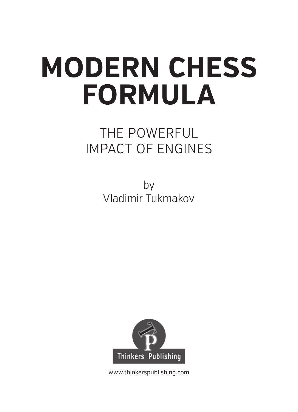# **MODERN CHESS FORMULA**

# THE POWERFUL IMPACT OF ENGINES

by Vladimir Tukmakov



www.thinkerspublishing.com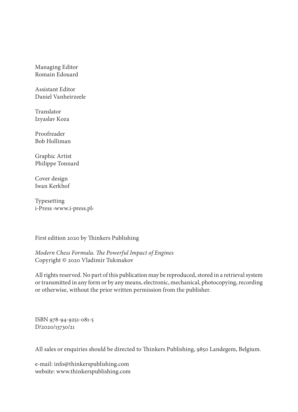Managing Editor Romain Edouard

Assistant Editor Daniel Vanheirzeele

Translator Izyaslav Koza

Proofreader Bob Holliman

Graphic Artist Philippe Tonnard

Cover design Iwan Kerkhof

Typesetting i-Press ‹www.i-press.pl›

First edition 2020 by Thinkers Publishing

*Modern Chess Formula. The Powerful Impact of Engines* Copyright © 2020 Vladimir Tukmakov

All rights reserved. No part of this publication may be reproduced, stored in a retrieval system or transmitted in any form or by any means, electronic, mechanical, photocopying, recording or otherwise, without the prior written permission from the publisher.

ISBN 978-94-9251-081-5 D/2020/13730/21

All sales or enquiries should be directed to Thinkers Publishing, 9850 Landegem, Belgium.

e-mail: info@thinkerspublishing.com website: www.thinkerspublishing.com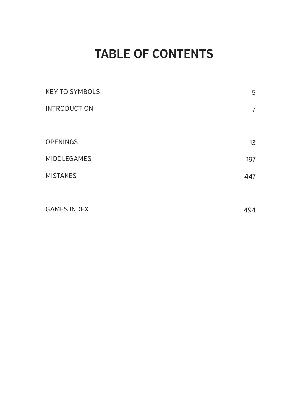# **TABLE OF CONTENTS**

| <b>KEY TO SYMBOLS</b> | 5                   |
|-----------------------|---------------------|
| <b>INTRODUCTION</b>   | 7                   |
|                       |                     |
| <b>OPENINGS</b>       | 13                  |
| MIDDLEGAMES           | 197                 |
| <b>MISTAKES</b>       | 447                 |
|                       |                     |
| CAMEC INDEV           | $\Lambda$ $\Lambda$ |

 $G_{\rm eff}$  is a set of  $G_{\rm eff}$  index 494  $\mu$  . The set of  $G_{\rm eff}$  is a set of  $G_{\rm eff}$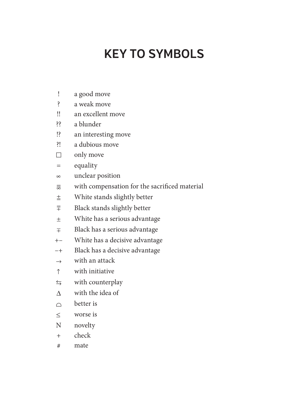# **KEY TO SYMBOLS**

- ! a good move
- ? a weak move
- !! an excellent move
- ?? a blunder
- !? an interesting move
- ?! a dubious move
- $\Box$  only move
- = equality
- unclear position
- with compensation for the sacrifi ced material
- $\pm$  White stands slightly better
- $\overline{\overline{F}}$  Black stands slightly better
- White has a serious advantage
- $\mp$  Black has a serious advantage
- +– White has a decisive advantage
- –+ Black has a decisive advantage
- $\rightarrow$  with an attack
- $\uparrow$  with initiative
- $\leftrightarrows$  with counterplay
- $\Lambda$  with the idea of
- $\cap$  better is
- worse is
- N novelty
- + check
- # mate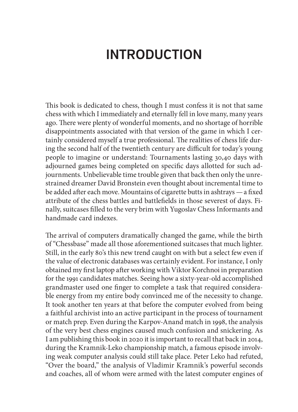# **INTRODUCTION**

This book is dedicated to chess, though I must confess it is not that same chess with which I immediately and eternally fell in love many, many years ago. There were plenty of wonderful moments, and no shortage of horrible disappointments associated with that version of the game in which I certainly considered myself a true professional. The realities of chess life during the second half of the twentieth century are difficult for today's young people to imagine or understand: Tournaments lasting 30,40 days with adjourned games being completed on specific days allotted for such adjournments. Unbelievable time trouble given that back then only the unrestrained dreamer David Bronstein even thought about incremental time to be added after each move. Mountains of cigarette butts in ashtrays — a fixed attribute of the chess battles and battlefields in those severest of days. Finally, suitcases filled to the very brim with Yugoslav Chess Informants and handmade card indexes.

The arrival of computers dramatically changed the game, while the birth of "Chessbase" made all those aforementioned suitcases that much lighter. Still, in the early 80's this new trend caught on with but a select few even if the value of electronic databases was certainly evident. For instance, I only obtained my first laptop after working with Viktor Korchnoi in preparation for the 1991 candidates matches. Seeing how a sixty-year-old accomplished grandmaster used one finger to complete a task that required considerable energy from my entire body convinced me of the necessity to change. It took another ten years at that before the computer evolved from being a faithful archivist into an active participant in the process of tournament or match prep. Even during the Karpov-Anand match in 1998, the analysis of the very best chess engines caused much confusion and snickering. As I am publishing this book in 2020 it is important to recall that back in 2014, during the Kramnik-Leko championship match, a famous episode involving weak computer analysis could still take place. Peter Leko had refuted, "Over the board," the analysis of Vladimir Kramnik's powerful seconds and coaches, all of whom were armed with the latest computer engines of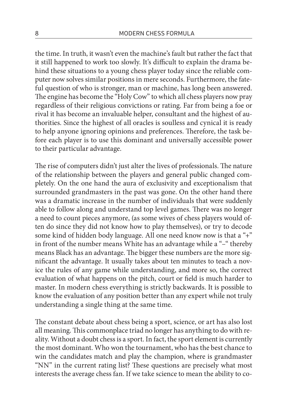the time. In truth, it wasn't even the machine's fault but rather the fact that it still happened to work too slowly. It's difficult to explain the drama behind these situations to a young chess player today since the reliable computer now solves similar positions in mere seconds. Furthermore, the fateful question of who is stronger, man or machine, has long been answered. The engine has become the "Holy Cow" to which all chess players now pray regardless of their religious convictions or rating. Far from being a foe or rival it has become an invaluable helper, consultant and the highest of authorities. Since the highest of all oracles is soulless and cynical it is ready to help anyone ignoring opinions and preferences. Therefore, the task before each player is to use this dominant and universally accessible power to their particular advantage.

The rise of computers didn't just alter the lives of professionals. The nature of the relationship between the players and general public changed completely. On the one hand the aura of exclusivity and exceptionalism that surrounded grandmasters in the past was gone. On the other hand there was a dramatic increase in the number of individuals that were suddenly able to follow along and understand top level games. There was no longer a need to count pieces anymore, (as some wives of chess players would often do since they did not know how to play themselves), or try to decode some kind of hidden body language. All one need know now is that a "+" in front of the number means White has an advantage while a "–" thereby means Black has an advantage. The bigger these numbers are the more significant the advantage. It usually takes about ten minutes to teach a novice the rules of any game while understanding, and more so, the correct evaluation of what happens on the pitch, court or field is much harder to master. In modern chess everything is strictly backwards. It is possible to know the evaluation of any position better than any expert while not truly understanding a single thing at the same time.

The constant debate about chess being a sport, science, or art has also lost all meaning. This commonplace triad no longer has anything to do with reality. Without a doubt chess is a sport. In fact, the sport element is currently the most dominant. Who won the tournament, who has the best chance to win the candidates match and play the champion, where is grandmaster "NN" in the current rating list? These questions are precisely what most interests the average chess fan. If we take science to mean the ability to co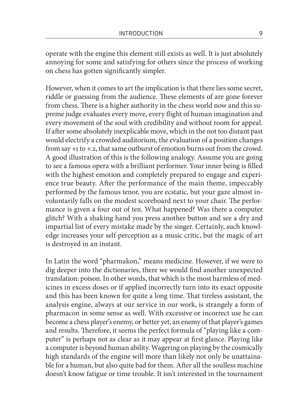operate with the engine this element still exists as well. It is just absolutely annoying for some and satisfying for others since the process of working on chess has gotten significantly simpler.

However, when it comes to art the implication is that there lies some secret, riddle or guessing from the audience. These elements of are gone forever from chess. There is a higher authority in the chess world now and this supreme judge evaluates every move, every flight of human imagination and every movement of the soul with credibility and without room for appeal. If after some absolutely inexplicable move, which in the not too distant past would electrify a crowded auditorium, the evaluation of a position changes from say +1 to +.2, that same outburst of emotion burns out from the crowd. A good illustration of this is the following analogy. Assume you are going to see a famous opera with a brilliant performer. Your inner being is filled with the highest emotion and completely prepared to engage and experience true beauty. After the performance of the main theme, impeccably performed by the famous tenor, you are ecstatic, but your gaze almost involuntarily falls on the modest scoreboard next to your chair. The performance is given a four out of ten. What happened? Was there a computer glitch? With a shaking hand you press another button and see a dry and impartial list of every mistake made by the singer. Certainly, such knowledge increases your self-perception as a music critic, but the magic of art is destroyed in an instant.

In Latin the word "pharmakon," means medicine. However, if we were to dig deeper into the dictionaries, there we would find another unexpected translation: poison. In other words, that which is the most harmless of medicines in excess doses or if applied incorrectly turn into its exact opposite and this has been known for quite a long time. That tireless assistant, the analysis engine, always at our service in our work, is strangely a form of pharmacon in some sense as well. With excessive or incorrect use he can become a chess player's enemy, or better yet, an enemy of that player's games and results. Therefore, it seems the perfect formula of "playing like a computer" is perhaps not as clear as it may appear at first glance. Playing like a computer is beyond human ability. Wagering on playing by the cosmically high standards of the engine will more than likely not only be unattainable for a human, but also quite bad for them. After all the soulless machine doesn't know fatigue or time trouble. It isn't interested in the tournament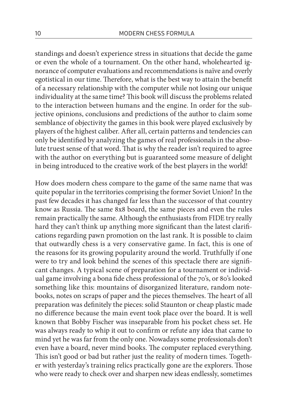standings and doesn't experience stress in situations that decide the game or even the whole of a tournament. On the other hand, wholehearted ignorance of computer evaluations and recommendations is naïve and overly egotistical in our time. Therefore, what is the best way to attain the benefit of a necessary relationship with the computer while not losing our unique individuality at the same time? This book will discuss the problems related to the interaction between humans and the engine. In order for the subjective opinions, conclusions and predictions of the author to claim some semblance of objectivity the games in this book were played exclusively by players of the highest caliber. After all, certain patterns and tendencies can only be identified by analyzing the games of real professionals in the absolute truest sense of that word. That is why the reader isn't required to agree with the author on everything but is guaranteed some measure of delight in being introduced to the creative work of the best players in the world!

How does modern chess compare to the game of the same name that was quite popular in the territories comprising the former Soviet Union? In the past few decades it has changed far less than the successor of that country know as Russia. The same 8x8 board, the same pieces and even the rules remain practically the same. Although the enthusiasts from FIDE try really hard they can't think up anything more significant than the latest clarifications regarding pawn promotion on the last rank. It is possible to claim that outwardly chess is a very conservative game. In fact, this is one of the reasons for its growing popularity around the world. Truthfully if one were to try and look behind the scenes of this spectacle there are significant changes. A typical scene of preparation for a tournament or individual game involving a bona fide chess professional of the 70's, or 80's looked something like this: mountains of disorganized literature, random notebooks, notes on scraps of paper and the pieces themselves. The heart of all preparation was definitely the pieces: solid Staunton or cheap plastic made no difference because the main event took place over the board. It is well known that Bobby Fischer was inseparable from his pocket chess set. He was always ready to whip it out to confirm or refute any idea that came to mind yet he was far from the only one. Nowadays some professionals don't even have a board, never mind books. The computer replaced everything. This isn't good or bad but rather just the reality of modern times. Together with yesterday's training relics practically gone are the explorers. Those who were ready to check over and sharpen new ideas endlessly, sometimes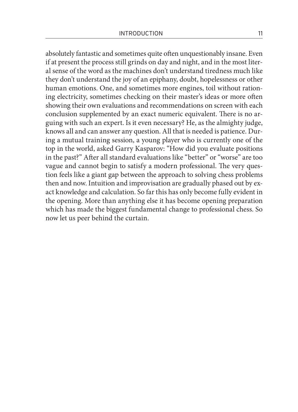absolutely fantastic and sometimes quite often unquestionably insane. Even if at present the process still grinds on day and night, and in the most literal sense of the word as the machines don't understand tiredness much like they don't understand the joy of an epiphany, doubt, hopelessness or other human emotions. One, and sometimes more engines, toil without rationing electricity, sometimes checking on their master's ideas or more often showing their own evaluations and recommendations on screen with each conclusion supplemented by an exact numeric equivalent. There is no arguing with such an expert. Is it even necessary? He, as the almighty judge, knows all and can answer any question. All that is needed is patience. During a mutual training session, a young player who is currently one of the top in the world, asked Garry Kasparov: "How did you evaluate positions in the past?" After all standard evaluations like "better" or "worse" are too vague and cannot begin to satisfy a modern professional. The very question feels like a giant gap between the approach to solving chess problems then and now. Intuition and improvisation are gradually phased out by exact knowledge and calculation. So far this has only become fully evident in the opening. More than anything else it has become opening preparation which has made the biggest fundamental change to professional chess. So now let us peer behind the curtain.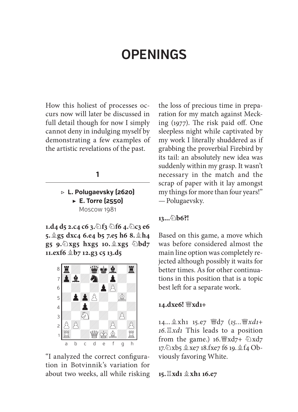# **OPENINGS**

How this holiest of processes occurs now will later be discussed in full detail though for now I simply cannot deny in indulging myself by demonstrating a few examples of the artistic revelations of the past.

### **1**

**▷ L. Polugaevsky (2620) ▶ E. Torre (2550)**  Moscow 1981

**1.d4 d5 2.c4 c6 3.f3 f6 4.c3 e6 5.g5 dxc4 6.e4 b5 7.e5 h6 8.h4 g5 9.xg5 hxg5 10. xg5 bd7 11.exf6 b7 12.g3 c5 13.d5** 



"I analyzed the correct configuration in Botvinnik's variation for about two weeks, all while risking the loss of precious time in preparation for my match against Mecking  $(1977)$ . The risk paid off. One sleepless night while captivated by my work I literally shuddered as if grabbing the proverbial Firebird by its tail: an absolutely new idea was suddenly within my grasp. It wasn't necessary in the match and the scrap of paper with it lay amongst my things for more than four years!" — Polugaevsky.

# **13...b6?!**

Based on this game, a move which was before considered almost the main line option was completely rejected although possibly it waits for better times. As for other continuations in this position that is a topic best left for a separate work.

# **14.dxe6! xd1+**

14... **愈xh1** 15.e7 *曾d7* (15... 曾xd1+ *16.xd1* This leads to a position from the game.)  $16.$   $\frac{16}{3}xd7 + \frac{16}{2}xd7$ 17. Dxb5 \$xe7 18.fxe7 f6 19. \$f4 Obviously favoring White.

**15.xd1 xh1 16.e7**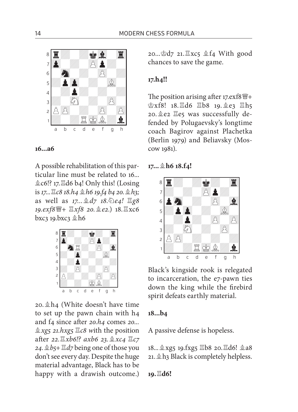

# **16...a6**

A possible rehabilitation of this particular line must be related to 16...  $\&c6$ !? 17. $\&d6 b4$ ! Only this! (Losing is *17...c8 18.h4 h6 19.f4 b4 20.h3;*  as well as *17...d7 18.e4! g8 19.exf8+ xf8 20.e2.*) 18.xc6  $bxc_3$  19. $bxc_3$   $\&$  h6



20. $\triangle$ h4 (White doesn't have time to set up the pawn chain with h4 and f<sub>4</sub> since after *20.h<sub>4</sub>* comes *20... xg5 21.hxg5 c8 w*ith the position after 22.  $\mathbb{E}xb6$  *c? axb6 23.*  $\&xc4 \mathbb{E}c7$ *24.b5+ d7* being one of those you don't see every day. Despite the huge material advantage, Black has to be happy with a drawish outcome.) 20... \$d7 21. Xxc5 \$f4 With good chances to save the game.

## **17.h4!!**

The position arising after 17. $exf8\frac{wr}{4}$ +  $\&xf8!$  18. $\&d6$   $\&b8$  19. $\&e3$   $\&h5$ 20. e2 Ee5 was successfully defended by Polugaevsky's longtime coach Bagirov against Plachetka (Berlin 1979) and Beliavsky (Moscow 1981).

### **17...h6 18.f4!**



Black's kingside rook is relegated to incarceration, the e7-pawn ties down the king while the firebird spirit defeats earthly material.

### **18...b4**

A passive defense is hopeless.

 $18...$  xg5 19.fxg5  $\Xi$ b8 20. $\Xi$ d6!  $\&$  a8  $21.$   $\&$  h<sub>3</sub> Black is completely helpless.

**19.d6!**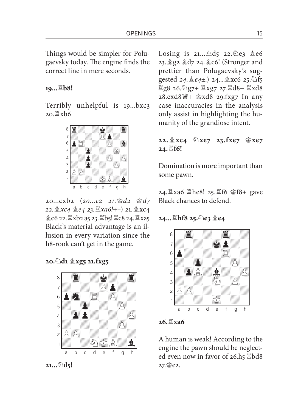Things would be simpler for Polugaevsky today. The engine finds the correct line in mere seconds.

### **19...b8!**

Terribly unhelpful is 19...bxc3  $20.$   $\mathbb{X}$ xb6



20...cxb2 (*20...c2 21.d2 d7 22.*  $\&xc4 \&e4$  23.  $\&xa6!$ +−) 21.  $\&xc4$  $2c6$  22.  $\Xi$ xb2 a5 23.  $\Xi$ b5!  $\Xi$ c8 24.  $\Xi$ xa5 Black's material advantage is an illusion in every variation since the h8-rook can't get in the game.

**20.d1 xg5 21.fxg5** 



**21...d5!** 

Losing is  $21...$   $\&$  d5  $22.\&$  e3  $\&$  e6 23. @g2 @d7 24. @c6! (Stronger and prettier than Polugaevsky's suggested 24.  $2e4 \pm 0$  24...  $2x \in \mathbb{Z}$  5. 15  $\Xi$ g8 26.  $\angle$ g7+  $\Xi$ xg7 27.  $\Xi$ d8+  $\Xi$ xd8 28.exd8+ xd8 29.fxg7 In any case inaccuracies in the analysis only assist in highlighting the humanity of the grandiose intent.

# **22. xc4 xe7 23.fxe7 xe7 24.f6!**

Domination is more important than some pawn.

24. Xa6 Xhe8! 25. Xf6 空f8+ gave Black chances to defend.

### **24...hf8 25.e3 e4**



# **26.xa6**

A human is weak! According to the engine the pawn should be neglected even now in favor of  $26.h5$   $\Xi$ bd8 27. 空e2.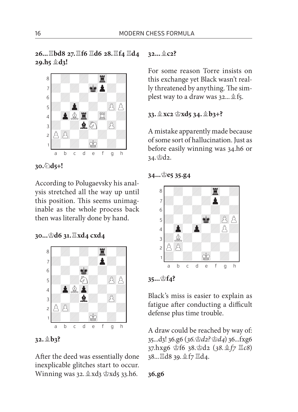**26...bd8 27.f6 d6 28.f4 d4 29.h5 d3!** 



**30.d5+!** 

According to Polugaevsky his analysis stretched all the way up until this position. This seems unimaginable as the whole process back then was literally done by hand.

# **30...d6 31.xd4 cxd4**



# **32.b3?**

After the deed was essentially done inexplicable glitches start to occur. Winning was 32. & xd3 \$xd5 33.h6.

**32...c2?** 

For some reason Torre insists on this exchange yet Black wasn't really threatened by anything. The simplest way to a draw was  $32...$   $25.$ 

**33.xc2 xd5 34.b3+?** 

A mistake apparently made because of some sort of hallucination. Just as before easily winning was 34.h6 or  $34.$ \$d2.

**34...e5 35.g4** 



# **35...f4?**

Black's miss is easier to explain as fatigue after conducting a difficult defense plus time trouble.

A draw could be reached by way of: 35...d3! 36.g6 (*36.d2? d4*) 36...fxg6 37.hxg6 f6 38.d2 (*38.f7 c8*) 38... 国d8 39. 鱼f7 国d4.

**36.g6**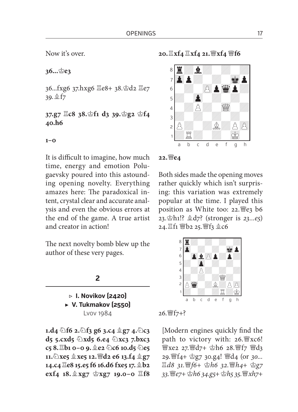Now it's over.

**36...e3** 

36...fxg6 37.hxg6  $\Xi$ e8+ 38.\$d2  $\Xi$ e7 39. \$f7

**37.g7 c8 38.f1 d3 39.g2 f4 40.h6**

**1–0**

It is difficult to imagine, how much time, energy and emotion Polugaevsky poured into this astounding opening novelty. Everything amazes here: The paradoxical intent, crystal clear and accurate analysis and even the obvious errors at the end of the game. A true artist and creator in action!

The next novelty bomb blew up the author of these very pages.

### **2**

**▷ I. Novikov (2420) ▶ V. Tukmakov (2550)**  Lvov 1984

**1.d4 f6 2.f3 g6 3.c4 g7 4.c3 d5 5.cxd5 xd5 6.e4 xc3 7.bxc3 c5 8.b1 0–0 9.e2 c6 10.d5 e5 11.xe5 xe5 12.d2 e6 13.f4 g7 14.c4 e8 15.e5 f6 16.d6 fxe5 17.b2 exf4 18. xg7 xg7 19.0–0 f8**  **20.xf4 xf4 21.xf4 f6** 



# **22.e4**

Both sides made the opening moves rather quickly which isn't surprising: this variation was extremely popular at the time. I played this position as White too:  $22.$  We3 b6 23. h1!?  $\&$ d7? (stronger is 23...e5) 24. 耳f1 響b2 25. 響f3 2c6



# 26. *曹f* 7+?

[Modern engines quickly find the path to victory with: 26. WXc6! 灣xe2 27. 營d7+ 含h6 28. 營f7 營d3 29.f4+ g7 30.g4! d4 (or *30...*  $\underline{\mathbb{E}}$  d8 31. 瞥f6+ 空h6 32. 瞥h4+ 空g7 *33.e7+ h6 34.g5+ h5 35.xh7+*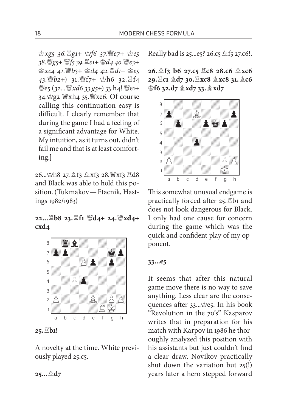*xg5 36.g1+ f6 37.e7+ e5 38.g5+ f5 39.e1+ d4 40.e3+ xc4 41.b3+ d4 42.d1+ e5*  43. 曾b2+) 31. 曾f7+ 空h6 32. <sup>[4</sup>4 *i* | e5 (32... | xd6 33.g5+) 33.h4! | 曾e1+ 34. g2 營xh4 35. 營xe6. Of course calling this continuation easy is difficult. I clearly remember that during the game I had a feeling of a significant advantage for White. My intuition, as it turns out, didn't fail me and that is at least comforting.]

26... 空h8 27. <sup>金</sup>f3 盒 xf3 28. 曾 xf3 罝d8 and Black was able to hold this position. (Tukmakov — Ftacnik, Hastings 1982/1983)

# **22...b8 23.f1 d4+ 24.xd4+ cxd4**



# **25.b1!**

A novelty at the time. White previously played 25.c5.

Really bad is  $25...e5$ ?  $26.c5 \& f5 27.c6!$ .

**26.f3 b6 27.c5 c8 28.c6 xc6 29.c1 d7 30.xc8 xc8 31.c6 f6 32.d7 xd7 33.xd7** 



This somewhat unusual endgame is practically forced after  $25$ . Eb1 and does not look dangerous for Black. I only had one cause for concern during the game which was the quick and confident play of my opponent.

#### **33...e5**

It seems that after this natural game move there is no way to save anything. Less clear are the consequences after  $33...$  $e5.$  In his book "Revolution in the 70's" Kasparov writes that in preparation for his match with Karpov in 1986 he thoroughly analyzed this position with his assistants but just couldn't find a clear draw. Novikov practically shut down the variation but 25(!) years later a hero stepped forward

**25...d7**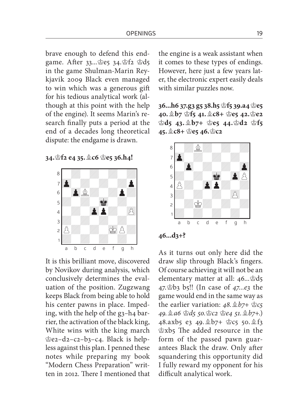brave enough to defend this endgame. After 33... e5 34. f2 \$d5 in the game Shulman-Marin Reykjavik 2009 Black even managed to win which was a generous gift for his tedious analytical work (although at this point with the help of the engine). It seems Marin's research finally puts a period at the end of a decades long theoretical dispute: the endgame is drawn.

**34.f2 e4 35.c6 e5 36.h4!** 



It is this brilliant move, discovered by Novikov during analysis, which conclusively determines the evaluation of the position. Zugzwang keeps Black from being able to hold his center pawns in place. Impeding, with the help of the g3–h4 barrier, the activation of the black king, White wins with the king march  $e^2$ e2–d2–c2–b3–c4. Black is helpless against this plan. I penned these notes while preparing my book "Modern Chess Preparation" written in 2012. There I mentioned that the engine is a weak assistant when it comes to these types of endings. However, here just a few years later, the electronic expert easily deals with similar puzzles now.

**36...h6 37.g3 g5 38.h5 f5 39.a4 e5 40.b7 f5 41.c8+ e5 42.e2 d5 43. b7+ e5 44.d2 f5 45.c8+ e5 46.c2** 



**46...d3+?** 

As it turns out only here did the draw slip through Black's fingers. Of course achieving it will not be an elementary matter at all:  $46...$ \$d5 47.b3 b5!! (In case of *47...e3* the game would end in the same way as the earlier variation: *48.b7+ c5 49.a6 d5 50.c2 e4 51.b7+.*) 48.axb5 e3 49. b7+ \$c5 50. \$f3 \$xb5 The added resource in the form of the passed pawn guarantees Black the draw. Only after squandering this opportunity did I fully reward my opponent for his difficult analytical work.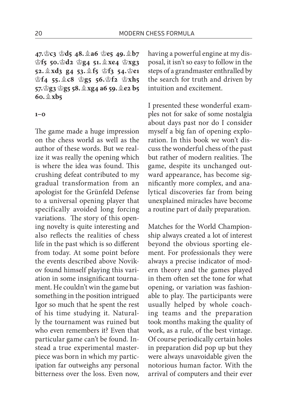**47.c3 d5 48.a6 e5 49.b7 f5 50.d2 g4 51. xe4 xg3 52. xd3 g4 53. f5 f3 54.e1 f4 55. c8 g5 56.f2 xh5 57.g3 g5 58.xg4 a6 59.e2 b5 60.xb5**

#### **1–0**

The game made a huge impression on the chess world as well as the author of these words. But we realize it was really the opening which is where the idea was found. This crushing defeat contributed to my gradual transformation from an apologist for the Grünfeld Defense to a universal opening player that specifically avoided long forcing variations. The story of this opening novelty is quite interesting and also reflects the realities of chess life in the past which is so different from today. At some point before the events described above Novikov found himself playing this variation in some insignificant tournament. He couldn't win the game but something in the position intrigued Igor so much that he spent the rest of his time studying it. Naturally the tournament was ruined but who even remembers it? Even that particular game can't be found. Instead a true experimental masterpiece was born in which my participation far outweighs any personal bitterness over the loss. Even now,

having a powerful engine at my disposal, it isn't so easy to follow in the steps of a grandmaster enthralled by the search for truth and driven by intuition and excitement.

I presented these wonderful examples not for sake of some nostalgia about days past nor do I consider myself a big fan of opening exploration. In this book we won't discuss the wonderful chess of the past but rather of modern realities. The game, despite its unchanged outward appearance, has become significantly more complex, and analytical discoveries far from being unexplained miracles have become a routine part of daily preparation.

Matches for the World Championship always created a lot of interest beyond the obvious sporting element. For professionals they were always a precise indicator of modern theory and the games played in them often set the tone for what opening, or variation was fashionable to play. The participants were usually helped by whole coaching teams and the preparation took months making the quality of work, as a rule, of the best vintage. Of course periodically certain holes in preparation did pop up but they were always unavoidable given the notorious human factor. With the arrival of computers and their ever